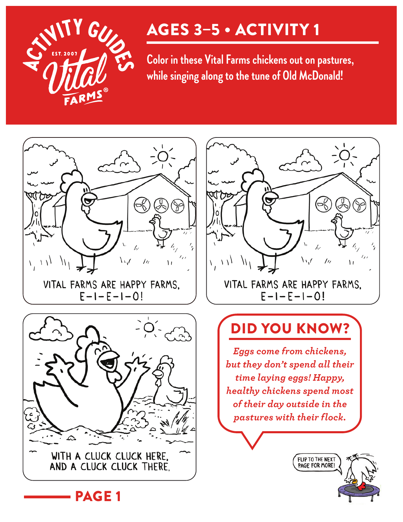

**Color in these Vital Farms chickens out on pastures, while singing along to the tune of Old McDonald!**





PAGE 1



### DID YOU KNOW?

*Eggs come from chickens, but they don't spend all their time laying eggs! Happy, healthy chickens spend most of their day outside in the pastures with their flock.*

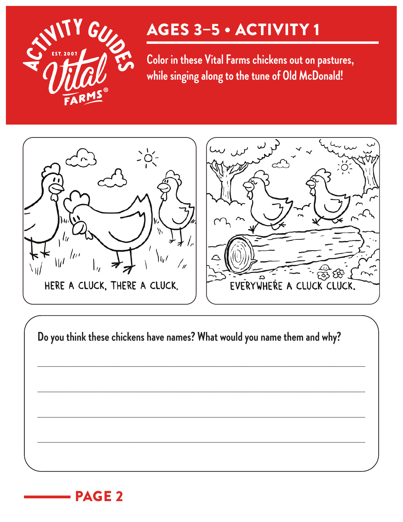

**Color in these Vital Farms chickens out on pastures, while singing along to the tune of Old McDonald!**



**Do you think these chickens have names? What would you name them and why?**

\_\_\_\_\_\_\_\_\_\_\_\_\_\_\_\_\_\_\_\_\_\_\_\_\_\_\_\_\_\_\_\_\_\_\_\_\_\_\_\_\_\_\_\_\_\_\_\_\_\_\_\_\_\_\_\_\_\_\_\_\_\_\_\_\_\_\_\_\_\_\_\_\_\_\_\_\_\_\_\_\_\_\_

\_\_\_\_\_\_\_\_\_\_\_\_\_\_\_\_\_\_\_\_\_\_\_\_\_\_\_\_\_\_\_\_\_\_\_\_\_\_\_\_\_\_\_\_\_\_\_\_\_\_\_\_\_\_\_\_\_\_\_\_\_\_\_\_\_\_\_\_\_\_\_\_\_\_\_\_\_\_\_\_\_\_\_

\_\_\_\_\_\_\_\_\_\_\_\_\_\_\_\_\_\_\_\_\_\_\_\_\_\_\_\_\_\_\_\_\_\_\_\_\_\_\_\_\_\_\_\_\_\_\_\_\_\_\_\_\_\_\_\_\_\_\_\_\_\_\_\_\_\_\_\_\_\_\_\_\_\_\_\_\_\_\_\_\_\_\_

\_\_\_\_\_\_\_\_\_\_\_\_\_\_\_\_\_\_\_\_\_\_\_\_\_\_\_\_\_\_\_\_\_\_\_\_\_\_\_\_\_\_\_\_\_\_\_\_\_\_\_\_\_\_\_\_\_\_\_\_\_\_\_\_\_\_\_\_\_\_\_\_\_\_\_\_\_\_\_\_\_\_\_

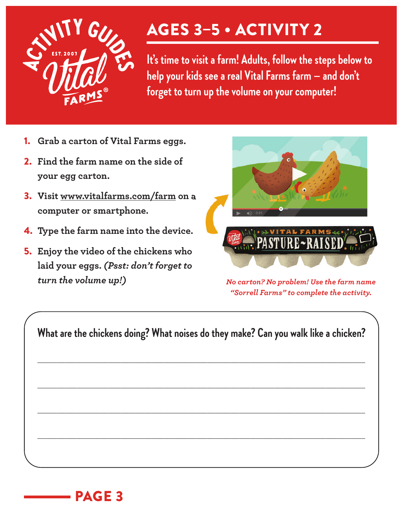

**It's time to visit a farm! Adults, follow the steps below to help your kids see a real Vital Farms farm — and don't forget to turn up the volume on your computer!** 

- 1. **Grab a carton of Vital Farms eggs.**
- 2. **Find the farm name on the side of your egg carton.**
- 3. **Visit www.vitalfarms.com/farm on a computer or smartphone.**
- 4. **Type the farm name into the device.**
- 5. **Enjoy the video of the chickens who laid your eggs.** *(Psst: don't forget to turn the volume up!) No carton? No problem! Use the farm name*



*"Sorrell Farms" to complete the activity.*

**What are the chickens doing? What noises do they make? Can you walk like a chicken?**

\_\_\_\_\_\_\_\_\_\_\_\_\_\_\_\_\_\_\_\_\_\_\_\_\_\_\_\_\_\_\_\_\_\_\_\_\_\_\_\_\_\_\_\_\_\_\_\_\_\_\_\_\_\_\_\_\_\_\_\_\_\_\_\_\_\_\_\_\_\_\_\_\_\_\_\_\_\_\_\_\_\_\_

\_\_\_\_\_\_\_\_\_\_\_\_\_\_\_\_\_\_\_\_\_\_\_\_\_\_\_\_\_\_\_\_\_\_\_\_\_\_\_\_\_\_\_\_\_\_\_\_\_\_\_\_\_\_\_\_\_\_\_\_\_\_\_\_\_\_\_\_\_\_\_\_\_\_\_\_\_\_\_\_\_\_\_

\_\_\_\_\_\_\_\_\_\_\_\_\_\_\_\_\_\_\_\_\_\_\_\_\_\_\_\_\_\_\_\_\_\_\_\_\_\_\_\_\_\_\_\_\_\_\_\_\_\_\_\_\_\_\_\_\_\_\_\_\_\_\_\_\_\_\_\_\_\_\_\_\_\_\_\_\_\_\_\_\_\_\_

\_\_\_\_\_\_\_\_\_\_\_\_\_\_\_\_\_\_\_\_\_\_\_\_\_\_\_\_\_\_\_\_\_\_\_\_\_\_\_\_\_\_\_\_\_\_\_\_\_\_\_\_\_\_\_\_\_\_\_\_\_\_\_\_\_\_\_\_\_\_\_\_\_\_\_\_\_\_\_\_\_\_\_